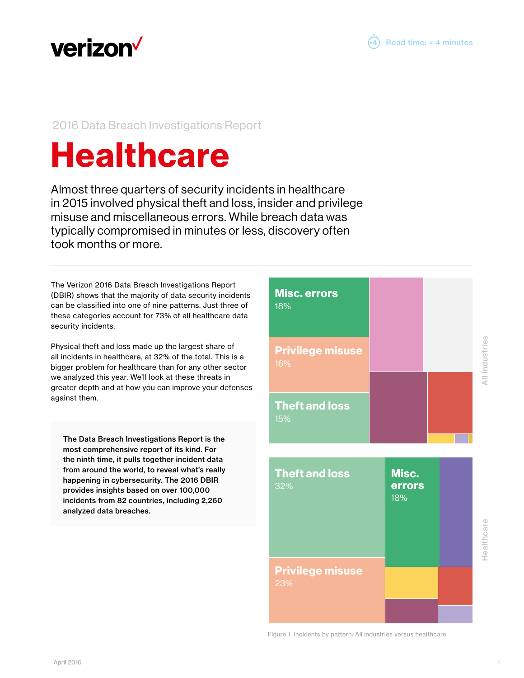

# 2016 Data Breach Investigations Report

# **Healthcare**

Almost three quarters of security incidents in healthcare in 2015 involved physical theft and loss, insider and privilege misuse and miscellaneous errors. While breach data was typically compromised in minutes or less, discovery often took months or more.

The Verizon 2016 Data Breach Investigations Report (DBIR) shows that the majority of data security incidents can be classified into one of nine patterns. Just three of these categories account for 73% of all healthcare data security incidents.

Physical theft and loss made up the largest share of all incidents in healthcare, at 32% of the total. This is a bigger problem for healthcare than for any other sector we analyzed this year. We'll look at these threats in greater depth and at how you can improve your defenses against them.

The Data Breach Investigations Report is the most comprehensive report of its kind. For the ninth time, it pulls together incident data from around the world, to reveal what's really happening in cybersecurity. The 2016 DBIR provides insights based on over 100,000 incidents from 82 countries, including 2,260 analyzed data breaches.



4 Read time: < 4 minutes

Figure 1: Incidents by pattern: All industries versus healthcare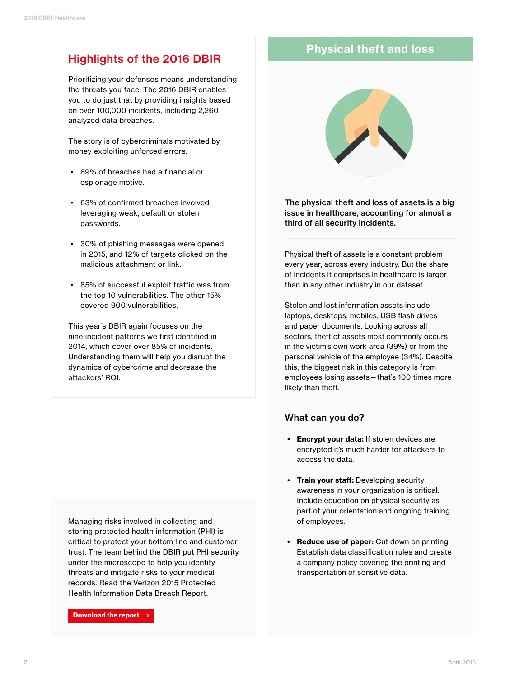# Highlights of the 2016 DBIR

Prioritizing your defenses means understanding the threats you face. The 2016 DBIR enables you to do just that by providing insights based on over 100,000 incidents, including 2,260 analyzed data breaches.

The story is of cybercriminals motivated by money exploiting unforced errors:

- 89% of breaches had a financial or espionage motive.
- 63% of confirmed breaches involved leveraging weak, default or stolen passwords.
- 30% of phishing messages were opened in 2015; and 12% of targets clicked on the malicious attachment or link.
- 85% of successful exploit traffic was from the top 10 vulnerabilities. The other 15% covered 900 vulnerabilities.

This year's DBIR again focuses on the nine incident patterns we first identified in 2014, which cover over 85% of incidents. Understanding them will help you disrupt the dynamics of cybercrime and decrease the attackers' ROI.

Managing risks involved in collecting and storing protected health information (PHI) is critical to protect your bottom line and customer [trust. The team behind the DBIR put PHI security](http://www.verizonenterprise.com/phi/)  under the microscope to help you identify threats and mitigate risks to your medical records. Read the Verizon 2015 Protected Health Information Data Breach Report.

Download the report

## Physical theft and loss



The physical theft and loss of assets is a big issue in healthcare, accounting for almost a third of all security incidents.

Physical theft of assets is a constant problem every year, across every industry. But the share of incidents it comprises in healthcare is larger than in any other industry in our dataset.

Stolen and lost information assets include laptops, desktops, mobiles, USB flash drives and paper documents. Looking across all sectors, theft of assets most commonly occurs in the victim's own work area (39%) or from the personal vehicle of the employee (34%). Despite this, the biggest risk in this category is from employees losing assets—that's 100 times more likely than theft.

### What can you do?

- Encrypt your data: If stolen devices are encrypted it's much harder for attackers to access the data.
- Train your staff: Developing security awareness in your organization is critical. Include education on physical security as part of your orientation and ongoing training of employees.
- Reduce use of paper: Cut down on printing. Establish data classification rules and create a company policy covering the printing and transportation of sensitive data.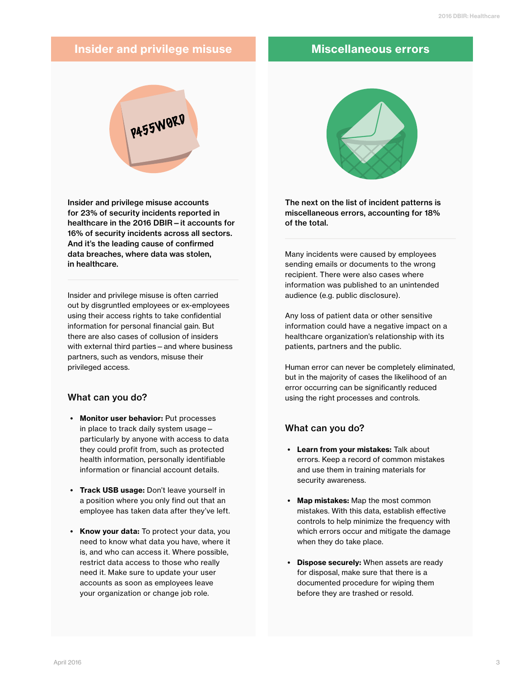# Insider and privilege misuse Miscellaneous errors



Insider and privilege misuse accounts for 23% of security incidents reported in healthcare in the 2016 DBIR—it accounts for 16% of security incidents across all sectors. And it's the leading cause of confirmed data breaches, where data was stolen, in healthcare.

Insider and privilege misuse is often carried out by disgruntled employees or ex-employees using their access rights to take confidential information for personal financial gain. But there are also cases of collusion of insiders with external third parties—and where business partners, such as vendors, misuse their privileged access.

### What can you do?

- Monitor user behavior: Put processes in place to track daily system usage particularly by anyone with access to data they could profit from, such as protected health information, personally identifiable information or financial account details.
- Track USB usage: Don't leave yourself in a position where you only find out that an employee has taken data after they've left.
- Know your data: To protect your data, you need to know what data you have, where it is, and who can access it. Where possible, restrict data access to those who really need it. Make sure to update your user accounts as soon as employees leave your organization or change job role.



The next on the list of incident patterns is miscellaneous errors, accounting for 18% of the total.

Many incidents were caused by employees sending emails or documents to the wrong recipient. There were also cases where information was published to an unintended audience (e.g. public disclosure).

Any loss of patient data or other sensitive information could have a negative impact on a healthcare organization's relationship with its patients, partners and the public.

Human error can never be completely eliminated, but in the majority of cases the likelihood of an error occurring can be significantly reduced using the right processes and controls.

### What can you do?

- Learn from your mistakes: Talk about errors. Keep a record of common mistakes and use them in training materials for security awareness.
- Map mistakes: Map the most common mistakes. With this data, establish effective controls to help minimize the frequency with which errors occur and mitigate the damage when they do take place.
- Dispose securely: When assets are ready for disposal, make sure that there is a documented procedure for wiping them before they are trashed or resold.